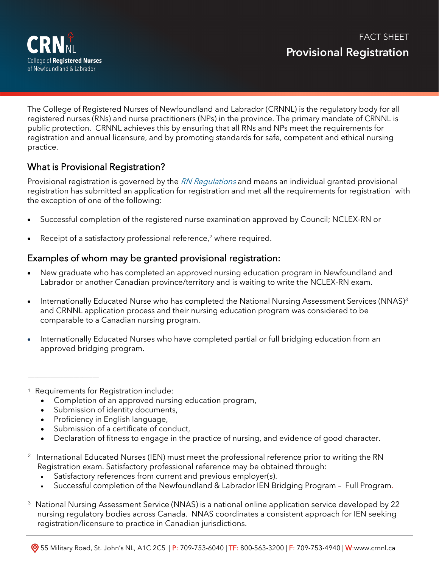

The College of Registered Nurses of Newfoundland and Labrador (CRNNL) is the regulatory body for all registered nurses (RNs) and nurse practitioners (NPs) in the province. The primary mandate of CRNNL is public protection. CRNNL achieves this by ensuring that all RNs and NPs meet the requirements for registration and annual licensure, and by promoting standards for safe, competent and ethical nursing practice.

## What is Provisional Registration?

Provisional registration is governed by the [RN Regulations](http://www.assembly.nl.ca/Legislation/sr/statutes/r09-1.htm) and means an individual granted provisional registration has submitted an application for registration and met all the requirements for registration<sup>1</sup> with the exception of one of the following:

- Successful completion of the registered nurse examination approved by Council; NCLEX-RN or
- Receipt of a satisfactory professional reference,<sup>2</sup> where required.

#### Examples of whom may be granted provisional registration:

- New graduate who has completed an approved nursing education program in Newfoundland and Labrador or another Canadian province/territory and is waiting to write the NCLEX-RN exam.
- Internationally Educated Nurse who has completed the National Nursing Assessment Services (NNAS)<sup>3</sup> and CRNNL application process and their nursing education program was considered to be comparable to a Canadian nursing program.
- Internationally Educated Nurses who have completed partial or full bridging education from an approved bridging program.
- <sup>1</sup> Requirements for Registration include:

\_\_\_\_\_\_\_\_\_\_\_\_\_\_\_\_\_\_\_\_\_\_

- Completion of an approved nursing education program,
- Submission of identity documents,
- Proficiency in English language,
- Submission of a certificate of conduct,
- Declaration of fitness to engage in the practice of nursing, and evidence of good character.
- 2 International Educated Nurses (IEN) must meet the professional reference prior to writing the RN Registration exam. Satisfactory professional reference may be obtained through:
	- Satisfactory references from current and previous employer(s).
	- Successful completion of the Newfoundland & Labrador IEN Bridging Program Full Program.
- <sup>3</sup> National Nursing Assessment Service (NNAS) is a national online application service developed by 22 nursing regulatory bodies across Canada. NNAS coordinates a consistent approach for IEN seeking registration/licensure to practice in Canadian jurisdictions.